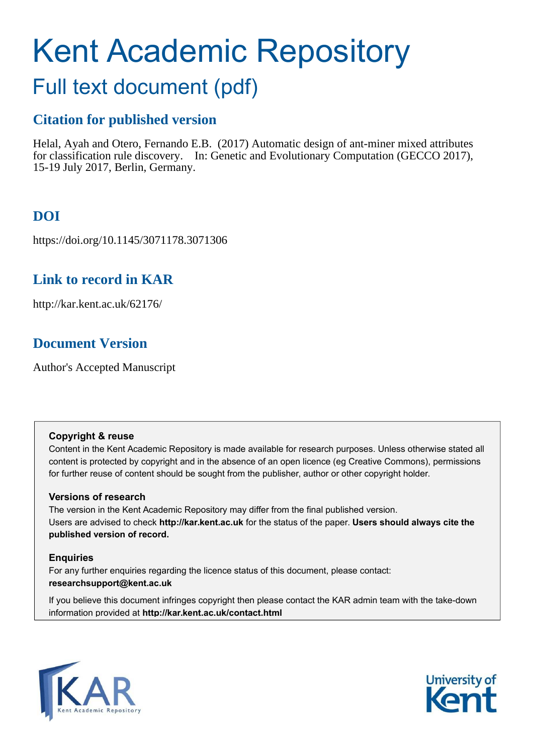# Kent Academic Repository

## Full text document (pdf)

## **Citation for published version**

Helal, Ayah and Otero, Fernando E.B. (2017) Automatic design of ant-miner mixed attributes for classification rule discovery. In: Genetic and Evolutionary Computation (GECCO 2017), 15-19 July 2017, Berlin, Germany.

## **DOI**

https://doi.org/10.1145/3071178.3071306

## **Link to record in KAR**

http://kar.kent.ac.uk/62176/

## **Document Version**

Author's Accepted Manuscript

#### **Copyright & reuse**

Content in the Kent Academic Repository is made available for research purposes. Unless otherwise stated all content is protected by copyright and in the absence of an open licence (eg Creative Commons), permissions for further reuse of content should be sought from the publisher, author or other copyright holder.

#### **Versions of research**

The version in the Kent Academic Repository may differ from the final published version. Users are advised to check **http://kar.kent.ac.uk** for the status of the paper. **Users should always cite the published version of record.**

#### **Enquiries**

For any further enquiries regarding the licence status of this document, please contact: **researchsupport@kent.ac.uk**

If you believe this document infringes copyright then please contact the KAR admin team with the take-down information provided at **http://kar.kent.ac.uk/contact.html**



<span id="page-0-1"></span><span id="page-0-0"></span>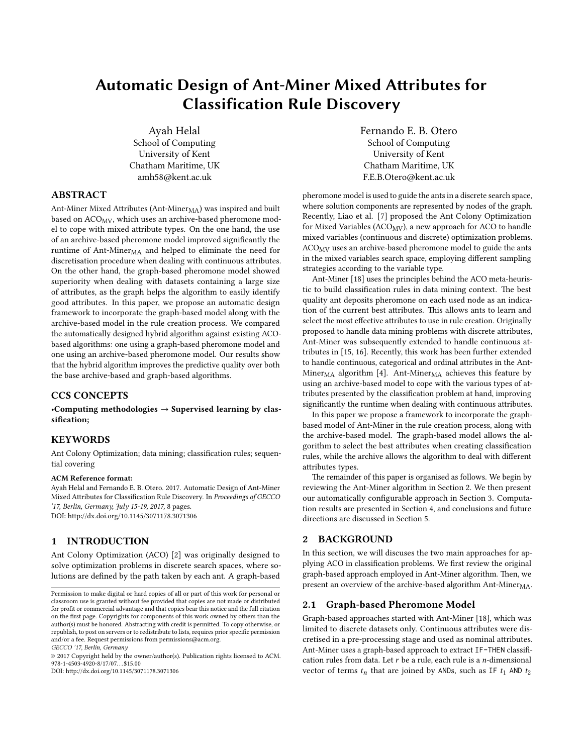### Automatic Design of Ant-Miner Mixed Attributes for Classification Rule Discovery

Ayah Helal School of Computing University of Kent Chatham Maritime, UK amh58@kent.ac.uk

#### ABSTRACT

Ant-Miner Mixed Attributes (Ant-Miner<sub>MA</sub>) was inspired and built based on ACO<sub>MV</sub>, which uses an archive-based pheromone model to cope with mixed attribute types. On the one hand, the use of an archive-based pheromone model improved signicantly the runtime of Ant-Miner<sub>MA</sub> and helped to eliminate the need for discretisation procedure when dealing with continuous attributes. On the other hand, the graph-based pheromone model showed superiority when dealing with datasets containing a large size of attributes, as the graph helps the algorithm to easily identify good attributes. In this paper, we propose an automatic design framework to incorporate the graph-based model along with the archive-based model in the rule creation process. We compared the automatically designed hybrid algorithm against existing ACObased algorithms: one using a graph-based pheromone model and one using an archive-based pheromone model. Our results show that the hybrid algorithm improves the predictive quality over both the base archive-based and graph-based algorithms.

#### CCS CONCEPTS

•Computing methodologies  $\rightarrow$  Supervised learning by classification;

#### **KEYWORDS**

Ant Colony Optimization; data mining; classification rules; sequential covering

#### ACM Reference format:

Ayah Helal and Fernando E. B. Otero. 2017. Automatic Design of Ant-Miner Mixed Attributes for Classification Rule Discovery. In Proceedings of GECCO '17, Berlin, Germany, July 15-19, 2017, [8](#page-7-0) pages. DOI: http://dx.doi.org/10.1145/3071178.3071306

#### 1 INTRODUCTION

Ant Colony Optimization (ACO) [\[2\]](#page-7-1) was originally designed to solve optimization problems in discrete search spaces, where solutions are defined by the path taken by each ant. A graph-based

GECCO '17, Berlin, Germany

© 2017 Copyright held by the owner/author(s). Publication rights licensed to ACM. 978-1-4503-4920-8/17/07. . . \$15.00

DOI: http://dx.doi.org/10.1145/3071178.3071306

Fernando E. B. Otero School of Computing University of Kent Chatham Maritime, UK F.E.B.Otero@kent.ac.uk

pheromone model is used to guide the ants in a discrete search space, where solution components are represented by nodes of the graph. Recently, Liao et al. [\[7\]](#page-7-2) proposed the Ant Colony Optimization for Mixed Variables ( $ACO_{MV}$ ), a new approach for  $ACO$  to handle mixed variables (continuous and discrete) optimization problems. ACOMV uses an archive-based pheromone model to guide the ants in the mixed variables search space, employing different sampling strategies according to the variable type.

Ant-Miner [\[18\]](#page-7-3) uses the principles behind the ACO meta-heuristic to build classification rules in data mining context. The best quality ant deposits pheromone on each used node as an indication of the current best attributes. This allows ants to learn and select the most effective attributes to use in rule creation. Originally proposed to handle data mining problems with discrete attributes, Ant-Miner was subsequently extended to handle continuous attributes in [\[15,](#page-7-4) [16\]](#page-7-5). Recently, this work has been further extended to handle continuous, categorical and ordinal attributes in the Ant-Miner<sub>MA</sub> algorithm [\[4\]](#page-7-6). Ant-Miner<sub>MA</sub> achieves this feature by using an archive-based model to cope with the various types of attributes presented by the classification problem at hand, improving significantly the runtime when dealing with continuous attributes.

In this paper we propose a framework to incorporate the graphbased model of Ant-Miner in the rule creation process, along with the archive-based model. The graph-based model allows the algorithm to select the best attributes when creating classification rules, while the archive allows the algorithm to deal with different attributes types.

The remainder of this paper is organised as follows. We begin by reviewing the Ant-Miner algorithm in Section [2.](#page-0-0) We then present our automatically configurable approach in Section [3.](#page-1-0) Computation results are presented in Section [4,](#page-5-0) and conclusions and future directions are discussed in Section [5.](#page-7-7)

#### 2 BACKGROUND

<span id="page-1-0"></span>In this section, we will discuses the two main approaches for applying ACO in classification problems. We first review the original graph-based approach employed in Ant-Miner algorithm. Then, we present an overview of the archive-based algorithm Ant-Miner $_{\text{MA}}$ .

#### 2.1 Graph-based Pheromone Model

Graph-based approaches started with Ant-Miner [\[18\]](#page-7-3), which was limited to discrete datasets only. Continuous attributes were discretised in a pre-processing stage and used as nominal attributes. Ant-Miner uses a graph-based approach to extract IF-THEN classification rules from data. Let  $r$  be a rule, each rule is a  $n$ -dimensional vector of terms  $t_n$  that are joined by ANDs, such as IF  $t_1$  AND  $t_2$ 

Permission to make digital or hard copies of all or part of this work for personal or classroom use is granted without fee provided that copies are not made or distributed for profit or commercial advantage and that copies bear this notice and the full citation on the first page. Copyrights for components of this work owned by others than the  $\,$ author(s) must be honored. Abstracting with credit is permitted. To copy otherwise, or republish, to post on servers or to redistribute to lists, requires prior specific permission and/or a fee. Request permissions from permissions@acm.org.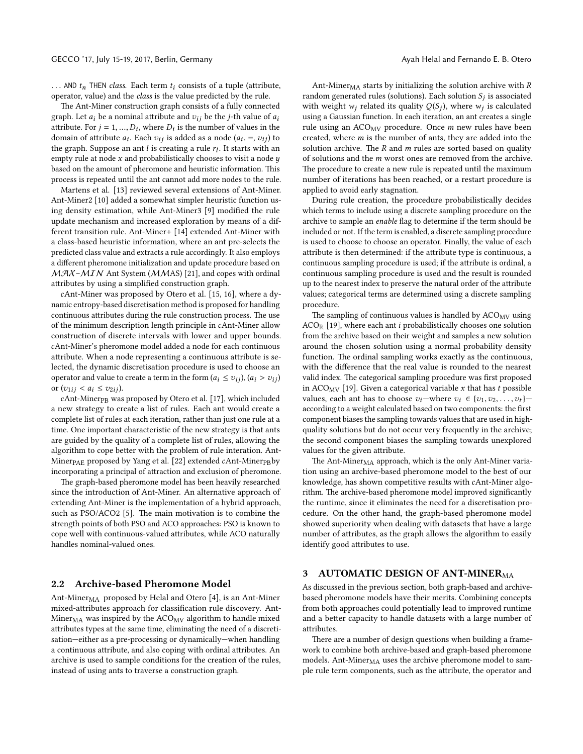... AND  $t_n$  THEN class. Each term  $t_i$  consists of a tuple (attribute, operator, value) and the class is the value predicted by the rule.

<span id="page-2-1"></span>The Ant-Miner construction graph consists of a fully connected graph. Let  $a_i$  be a nominal attribute and  $v_{ij}$  be the *j*-th value of  $a_i$ attribute. For  $j = 1, ..., D_i$ , where  $D_i$  is the number of values in the domain of attribute  $a_i$ . Each  $v_{ij}$  is added as a node  $(a_i, =, v_{ij})$  to the graph. Suppose an ant  $l$  is creating a rule  $r_l$ . It starts with an empty rule at node  $x$  and probabilistically chooses to visit a node  $y$ based on the amount of pheromone and heuristic information. This process is repeated until the ant cannot add more nodes to the rule.

Martens et al. [\[13\]](#page-7-8) reviewed several extensions of Ant-Miner. Ant-Miner2 [\[10\]](#page-7-9) added a somewhat simpler heuristic function us-ing density estimation, while Ant-Miner3 [\[9\]](#page-7-10) modified the rule update mechanism and increased exploration by means of a different transition rule. Ant-Miner+ [\[14\]](#page-7-11) extended Ant-Miner with a class-based heuristic information, where an ant pre-selects the predicted class value and extracts a rule accordingly. It also employs a different pheromone initialization and update procedure based on  $MAX-MIN$  Ant System (MMAS) [\[21\]](#page-7-12), and copes with ordinal attributes by using a simplified construction graph.

cAnt-Miner was proposed by Otero et al. [\[15,](#page-7-4) [16\]](#page-7-5), where a dynamic entropy-based discretisation method is proposed for handling continuous attributes during the rule construction process. The use of the minimum description length principle in cAnt-Miner allow construction of discrete intervals with lower and upper bounds. cAnt-Miner's pheromone model added a node for each continuous attribute. When a node representing a continuous attribute is selected, the dynamic discretisation procedure is used to choose an operator and value to create a term in the form  $(a_i \le v_{ij})$ ,  $(a_i > v_{ij})$ or  $(v_{1ij} < a_i \le v_{2ij})$ .

cAnt-Miner<sub>PB</sub> was proposed by Otero et al. [\[17\]](#page-7-13), which included a new strategy to create a list of rules. Each ant would create a complete list of rules at each iteration, rather than just one rule at a time. One important characteristic of the new strategy is that ants are guided by the quality of a complete list of rules, allowing the algorithm to cope better with the problem of rule interation. Ant-Miner<sub>PAE</sub> proposed by Yang et al. [\[22\]](#page-7-14) extended cAnt-Miner<sub>PB</sub>by incorporating a principal of attraction and exclusion of pheromone.

The graph-based pheromone model has been heavily researched since the introduction of Ant-Miner. An alternative approach of extending Ant-Miner is the implementation of a hybrid approach, such as PSO/ACO2 [\[5\]](#page-7-15). The main motivation is to combine the strength points of both PSO and ACO approaches: PSO is known to cope well with continuous-valued attributes, while ACO naturally handles nominal-valued ones.

#### 2.2 Archive-based Pheromone Model

Ant-Miner<sub>MA</sub> proposed by Helal and Otero [\[4\]](#page-7-6), is an Ant-Miner mixed-attributes approach for classification rule discovery. Ant-Miner $_{\text{MA}}$  was inspired by the ACO<sub>MV</sub> algorithm to handle mixed attributes types at the same time, eliminating the need of a discretisation—either as a pre-processing or dynamically—when handling a continuous attribute, and also coping with ordinal attributes. An archive is used to sample conditions for the creation of the rules, instead of using ants to traverse a construction graph.

<span id="page-2-2"></span>Ant-Miner $<sub>MA</sub>$  starts by initializing the solution archive with  $R$ </sub> random generated rules (solutions). Each solution  $S_j$  is associated with weight  $w_j$  related its quality  $Q(S_j)$ , where  $w_j$  is calculated using a Gaussian function. In each iteration, an ant creates a single rule using an  $ACO_{MV}$  procedure. Once *m* new rules have been created, where  $m$  is the number of ants, they are added into the solution archive. The  $R$  and  $m$  rules are sorted based on quality of solutions and the m worst ones are removed from the archive. The procedure to create a new rule is repeated until the maximum number of iterations has been reached, or a restart procedure is applied to avoid early stagnation.

During rule creation, the procedure probabilistically decides which terms to include using a discrete sampling procedure on the archive to sample an enable flag to determine if the term should be included or not. If the term is enabled, a discrete sampling procedure is used to choose to choose an operator. Finally, the value of each attribute is then determined: if the attribute type is continuous, a continuous sampling procedure is used; if the attribute is ordinal, a continuous sampling procedure is used and the result is rounded up to the nearest index to preserve the natural order of the attribute values; categorical terms are determined using a discrete sampling procedure.

The sampling of continuous values is handled by  $ACO_{MV}$  using  $ACO_{\mathbb{R}}$  [\[19\]](#page-7-16), where each ant *i* probabilistically chooses one solution from the archive based on their weight and samples a new solution around the chosen solution using a normal probability density function. The ordinal sampling works exactly as the continuous, with the difference that the real value is rounded to the nearest valid index. The categorical sampling procedure was first proposed in ACO<sub>MV</sub> [\[19\]](#page-7-16). Given a categorical variable  $x$  that has  $t$  possible values, each ant has to choose  $v_i$ —where  $v_i \in \{v_1, v_2, \ldots, v_t\}$  according to a weight calculated based on two components: the first component biases the sampling towards values that are used in highquality solutions but do not occur very frequently in the archive; the second component biases the sampling towards unexplored values for the given attribute.

The Ant-Miner<sub>MA</sub> approach, which is the only Ant-Miner variation using an archive-based pheromone model to the best of our knowledge, has shown competitive results with cAnt-Miner algorithm. The archive-based pheromone model improved significantly the runtime, since it eliminates the need for a discretisation procedure. On the other hand, the graph-based pheromone model showed superiority when dealing with datasets that have a large number of attributes, as the graph allows the algorithm to easily identify good attributes to use.

#### <span id="page-2-0"></span>3 AUTOMATIC DESIGN OF ANT-MINERMA

As discussed in the previous section, both graph-based and archivebased pheromone models have their merits. Combining concepts from both approaches could potentially lead to improved runtime and a better capacity to handle datasets with a large number of attributes.

There are a number of design questions when building a framework to combine both archive-based and graph-based pheromone models. Ant-Miner<sub>MA</sub> uses the archive pheromone model to sample rule term components, such as the attribute, the operator and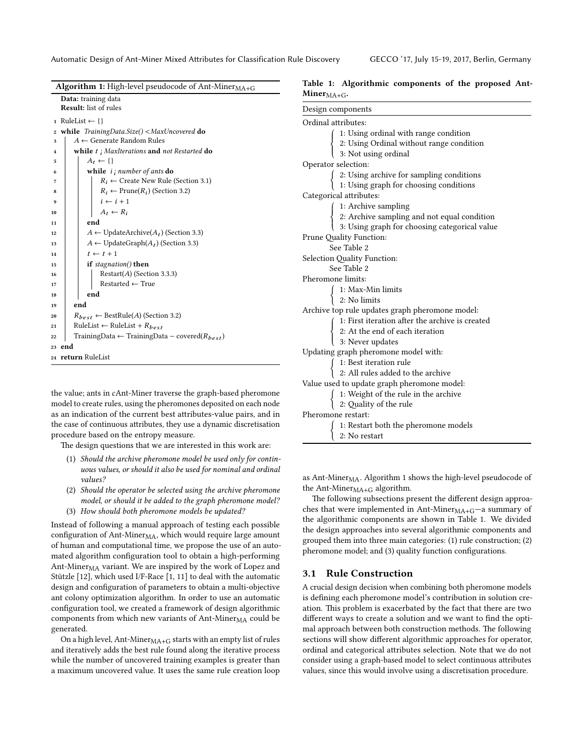Automatic Design of Ant-Miner Mixed Attributes for Classification Rule Discovery GECCO '17, July 15-19, 2017, Berlin, Germany

| Algorithm 1: High-level pseudocode of Ant-Miner <sub>MA+G</sub>      |  |  |  |  |  |  |
|----------------------------------------------------------------------|--|--|--|--|--|--|
| Data: training data                                                  |  |  |  |  |  |  |
| <b>Result:</b> list of rules                                         |  |  |  |  |  |  |
| RuleList $\leftarrow \{\}$<br>1                                      |  |  |  |  |  |  |
| while $TrainingDataSize() < \text{MaxUncovered}$ do<br>$\mathbf 2$   |  |  |  |  |  |  |
| $A \leftarrow$ Generate Random Rules<br>3                            |  |  |  |  |  |  |
| while $t_i$ MaxIterations and not Restarted do<br>$\bf{4}$           |  |  |  |  |  |  |
| $A_t \leftarrow \{\}$<br>5                                           |  |  |  |  |  |  |
| while $i$ ; number of ants do<br>6                                   |  |  |  |  |  |  |
| $R_i \leftarrow$ Create New Rule (Section 3.1)<br>7                  |  |  |  |  |  |  |
| $R_i \leftarrow$ Prune( $R_i$ ) (Section 3.2)<br>8                   |  |  |  |  |  |  |
| $i \leftarrow i + 1$<br>9                                            |  |  |  |  |  |  |
| $A_t \leftarrow R_i$<br>10                                           |  |  |  |  |  |  |
| end<br>11                                                            |  |  |  |  |  |  |
| $A \leftarrow$ UpdateArchive( $A_t$ ) (Section 3.3)<br>12            |  |  |  |  |  |  |
| $A \leftarrow$ UpdateGraph $(A_t)$ (Section 3.3)<br>13               |  |  |  |  |  |  |
| $t \leftarrow t + 1$<br>14                                           |  |  |  |  |  |  |
| if $stagnation()$ then<br>15                                         |  |  |  |  |  |  |
| $Restart(A)$ (Section 3.3.3)<br>16                                   |  |  |  |  |  |  |
| $Restarted \leftarrow True$<br>17                                    |  |  |  |  |  |  |
| end<br>18                                                            |  |  |  |  |  |  |
| end<br>19                                                            |  |  |  |  |  |  |
| $R_{best} \leftarrow$ BestRule(A) (Section 3.2)<br>20                |  |  |  |  |  |  |
| RuleList $\leftarrow$ RuleList + $R_{best}$<br>21                    |  |  |  |  |  |  |
| TrainingData $\leftarrow$ TrainingData – covered( $R_{best}$ )<br>22 |  |  |  |  |  |  |
| end<br>23                                                            |  |  |  |  |  |  |
| 24 return RuleList                                                   |  |  |  |  |  |  |
|                                                                      |  |  |  |  |  |  |

the value; ants in cAnt-Miner traverse the graph-based pheromone model to create rules, using the pheromones deposited on each node as an indication of the current best attributes-value pairs, and in the case of continuous attributes, they use a dynamic discretisation procedure based on the entropy measure.

The design questions that we are interested in this work are:

- (1) Should the archive pheromone model be used only for continuous values, or should it also be used for nominal and ordinal values?
- (2) Should the operator be selected using the archive pheromone model, or should it be added to the graph pheromone model?
- (3) How should both pheromone models be updated?

Instead of following a manual approach of testing each possible configuration of Ant-Mine $r_{\text{MA}}$ , which would require large amount of human and computational time, we propose the use of an automated algorithm configuration tool to obtain a high-performing Ant-Miner<sub>MA</sub> variant. We are inspired by the work of Lopez and Stützle [[12\]](#page-7-17), which used I/F-Race [\[1,](#page-7-18) [11\]](#page-7-19) to deal with the automatic design and configuration of parameters to obtain a multi-objective ant colony optimization algorithm. In order to use an automatic configuration tool, we created a framework of design algorithmic components from which new variants of Ant-Miner $_{\text{MA}}$  could be generated.

On a high level, Ant-Miner $_{\rm MA+G}$  starts with an empty list of rules and iteratively adds the best rule found along the iterative process while the number of uncovered training examples is greater than a maximum uncovered value. It uses the same rule creation loop

<span id="page-3-1"></span>

|                  | Table 1: Algorithmic components of the proposed Ant- |  |  |  |
|------------------|------------------------------------------------------|--|--|--|
| Miner $MA + G$ . |                                                      |  |  |  |

| Design components                                                                                                                               |  |  |  |  |  |
|-------------------------------------------------------------------------------------------------------------------------------------------------|--|--|--|--|--|
| Ordinal attributes:                                                                                                                             |  |  |  |  |  |
| 1: Using ordinal with range condition                                                                                                           |  |  |  |  |  |
| 2: Using Ordinal without range condition<br>3: Not using ordinal                                                                                |  |  |  |  |  |
|                                                                                                                                                 |  |  |  |  |  |
| Operator selection:                                                                                                                             |  |  |  |  |  |
| $\left\{ \begin{array}{ll} 2: \text{Using archive for sampling conditions}\\ 1: \text{Using graph for choosing conditions} \end{array} \right.$ |  |  |  |  |  |
|                                                                                                                                                 |  |  |  |  |  |
| Categorical attributes:                                                                                                                         |  |  |  |  |  |
| 1: Archive sampling                                                                                                                             |  |  |  |  |  |
|                                                                                                                                                 |  |  |  |  |  |
| 2: Archive sampling and not equal condition<br>3: Using graph for choosing categorical value                                                    |  |  |  |  |  |
| Prune Quality Function:                                                                                                                         |  |  |  |  |  |
| See Table 2                                                                                                                                     |  |  |  |  |  |
| Selection Quality Function:                                                                                                                     |  |  |  |  |  |
| See Table 2                                                                                                                                     |  |  |  |  |  |
| Pheromone limits:                                                                                                                               |  |  |  |  |  |
| $\left\{\begin{array}{ll} 1: \textrm{Max-Min limits} \\ 2: \textrm{No limits} \end{array}\right.$                                               |  |  |  |  |  |
|                                                                                                                                                 |  |  |  |  |  |
| Archive top rule updates graph pheromone model:                                                                                                 |  |  |  |  |  |
|                                                                                                                                                 |  |  |  |  |  |
|                                                                                                                                                 |  |  |  |  |  |
| 1: First iteration after the archive is created<br>2: At the end of each iteration<br>3: Never updates                                          |  |  |  |  |  |
| Updating graph pheromone model with:                                                                                                            |  |  |  |  |  |
| $1\mathrm{:}$ Best iteration rule                                                                                                               |  |  |  |  |  |
| 2: All rules added to the archive                                                                                                               |  |  |  |  |  |
| Value used to update graph pheromone model:                                                                                                     |  |  |  |  |  |
| $\int$ 1: Weight of the rule in the archive<br>2: Quality of the rule                                                                           |  |  |  |  |  |
|                                                                                                                                                 |  |  |  |  |  |
| Pheromone restart:                                                                                                                              |  |  |  |  |  |
| 1: Restart both the pheromone models                                                                                                            |  |  |  |  |  |
| $2:$ No $\,$ restart                                                                                                                            |  |  |  |  |  |

<span id="page-3-0"></span>as Ant-Miner<sub>MA</sub>. Algorithm [1](#page-2-1) shows the high-level pseudocode of the Ant-Miner $_{\rm MA+G}$  algorithm.

The following subsections present the different design approaches that were implemented in Ant-Mine $r_{MA+G}$ -a summary of the algorithmic components are shown in Table [1.](#page-2-2) We divided the design approaches into several algorithmic components and grouped them into three main categories: (1) rule construction; (2) pheromone model; and (3) quality function configurations.

#### 3.1 Rule Construction

A crucial design decision when combining both pheromone models is defining each pheromone model's contribution in solution creation. This problem is exacerbated by the fact that there are two different ways to create a solution and we want to find the optimal approach between both construction methods. The following sections will show different algorithmic approaches for operator, ordinal and categorical attributes selection. Note that we do not consider using a graph-based model to select continuous attributes values, since this would involve using a discretisation procedure.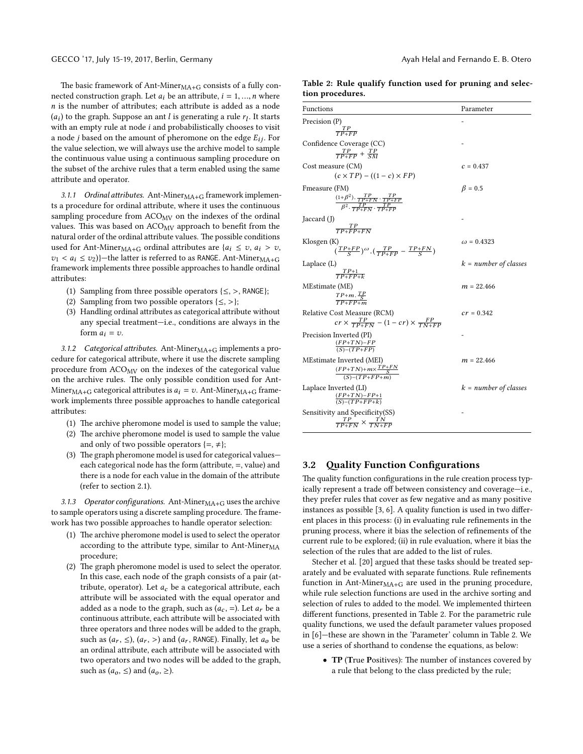<span id="page-4-3"></span>The basic framework of Ant-Miner $<sub>MA+G</sub>$  consists of a fully con-</sub> nected construction graph. Let  $a_i$  be an attribute,  $i = 1, ..., n$  where  $n$  is the number of attributes; each attribute is added as a node  $(a_i)$  to the graph. Suppose an ant  $l$  is generating a rule  $r_l$ . It starts with an empty rule at node  $i$  and probabilistically chooses to visit a node *j* based on the amount of pheromone on the edge  $E_{ij}$ . For the value selection, we will always use the archive model to sample the continuous value using a continuous sampling procedure on the subset of the archive rules that a term enabled using the same attribute and operator.

3.1.1 Ordinal attributes. Ant-Miner $_{\text{MA}+\text{G}}$  framework implements a procedure for ordinal attribute, where it uses the continuous sampling procedure from  $ACO_{MV}$  on the indexes of the ordinal values. This was based on  $ACO_{MV}$  approach to benefit from the natural order of the ordinal attribute values. The possible conditions used for Ant-Miner<sub>MA+G</sub> ordinal attributes are  $\{a_i \le v, a_i > v\}$ ,  $v_1 < a_i \le v_2$ )}—the latter is referred to as RANGE. Ant-Miner $_{\text{MA+G}}$ framework implements three possible approaches to handle ordinal attributes:

- (1) Sampling from three possible operators  $\{\leq,>,\}$  RANGE};
- (2) Sampling from two possible operators  $\{\leq,>\}$ ;
- (3) Handling ordinal attributes as categorical attribute without any special treatment—i.e., conditions are always in the form  $a_i = v$ .

<span id="page-4-1"></span>3.1.2 Categorical attributes. Ant-Miner $_{\text{MA}+\text{G}}$  implements a procedure for categorical attribute, where it use the discrete sampling procedure from  $ACO_{MV}$  on the indexes of the categorical value on the archive rules. The only possible condition used for Ant-Miner<sub>MA+G</sub> categorical attributes is  $a_i = v$ . Ant-Miner<sub>MA+G</sub> framework implements three possible approaches to handle categorical attributes:

- (1) The archive pheromone model is used to sample the value;
- (2) The archive pheromone model is used to sample the value and only of two possible operators  $\{=\neq\};$
- (3) The graph pheromone model is used for categorical values each categorical node has the form (attribute,  $=$ , value) and there is a node for each value in the domain of the attribute (refer to section [2.1\)](#page-0-1).

3.1.3 Operator configurations. Ant-Mine $r_{MA+G}$  uses the archive to sample operators using a discrete sampling procedure. The framework has two possible approaches to handle operator selection:

- (1) The archive pheromone model is used to select the operator according to the attribute type, similar to Ant-Miner $_{\text{MA}}$ procedure;
- <span id="page-4-0"></span>(2) The graph pheromone model is used to select the operator. In this case, each node of the graph consists of a pair (attribute, operator). Let  $a_c$  be a categorical attribute, each attribute will be associated with the equal operator and added as a node to the graph, such as  $(a<sub>c</sub>, =)$ . Let  $a<sub>r</sub>$  be a continuous attribute, each attribute will be associated with three operators and three nodes will be added to the graph, such as  $(a_r, \leq), (a_r, >)$  and  $(a_r, \text{RANGE})$ . Finally, let  $a_o$  be an ordinal attribute, each attribute will be associated with two operators and two nodes will be added to the graph, such as  $(a_0, \leq)$  and  $(a_0, \geq)$ .

|                  |  | Table 2: Rule qualify function used for pruning and selec- |  |  |  |
|------------------|--|------------------------------------------------------------|--|--|--|
| tion procedures. |  |                                                            |  |  |  |

| Functions                                                                                                                          | Parameter               |
|------------------------------------------------------------------------------------------------------------------------------------|-------------------------|
| Precision (P)<br>$\frac{TP}{TP+FP}$                                                                                                |                         |
|                                                                                                                                    |                         |
| Confidence Coverage (CC)<br>$\frac{TP}{TP+FP} + \frac{TP}{SM}$                                                                     |                         |
| Cost measure (CM)                                                                                                                  | $c = 0.437$             |
| $(c \times TP) - ((1 - c) \times FP)$                                                                                              |                         |
| Fmeasure (FM)<br>$\frac{(1+\beta^2)\cdot\frac{TP}{TP+FN}\cdot\frac{TP}{TP+FP}}{\beta^2\cdot\frac{TP}{TP+FN}\cdot\frac{TP}{TP+FP}}$ | $\beta = 0.5$           |
| Jaccard (J)                                                                                                                        |                         |
| $\frac{TP}{TP + FP + FN}$                                                                                                          |                         |
| Klosgen (K)<br>$\left(\frac{TP+FP}{S}\right)^{\omega} \cdot \left(\frac{TP}{TP+FP} - \frac{TP+FN}{S}\right)$                       | $\omega = 0.4323$       |
| Laplace $(L)$<br>$\frac{TP+1}{TP+FP+k}$                                                                                            | $k = number of classes$ |
| MEstimate (ME)<br>$\frac{TP+m.\frac{TP}{S}}{TP+FP+m}$                                                                              | $m = 22.466$            |
| Relative Cost Measure (RCM)<br>$cr \times \frac{TP}{TP+FN} - (1 - cr) \times \frac{FP}{TN+FP}$                                     | $cr = 0.342$            |
| Precision Inverted (PI)<br>$\frac{(FP+TN)-FP}{(S)-(TP+FP)}$                                                                        |                         |
| MEstimate Inverted (MEI)<br>$\frac{(FP+TN)+m \times \frac{TP+FN}{S}}{(S)-(TP+FP+m)}$                                               | $m = 22.466$            |
| Laplace Inverted (LI)<br>$\frac{(FP+TN)-FP+1}{(S)-(TP+FP+k)}$                                                                      | $k = number of classes$ |
| Sensitivity and Specificity(SS)<br>$\frac{TP}{TP+FN} \times \frac{TN}{TN+FP}$                                                      |                         |

#### <span id="page-4-2"></span>3.2 Quality Function Configurations

The quality function configurations in the rule creation process typically represent a trade off between consistency and coverage-i.e., they prefer rules that cover as few negative and as many positive instances as possible  $[3, 6]$  $[3, 6]$ . A quality function is used in two different places in this process: (i) in evaluating rule refinements in the pruning process, where it bias the selection of refinements of the current rule to be explored; (ii) in rule evaluation, where it bias the selection of the rules that are added to the list of rules.

Stecher et al. [\[20\]](#page-7-22) argued that these tasks should be treated separately and be evaluated with separate functions. Rule refinements function in Ant-Miner $_{MA+G}$  are used in the pruning procedure, while rule selection functions are used in the archive sorting and selection of rules to added to the model. We implemented thirteen different functions, presented in Table [2.](#page-3-1) For the parametric rule quality functions, we used the default parameter values proposed in [\[6\]](#page-7-21)—these are shown in the 'Parameter' column in Table [2.](#page-3-1) We use a series of shorthand to condense the equations, as below:

• TP (True Positives): The number of instances covered by a rule that belong to the class predicted by the rule;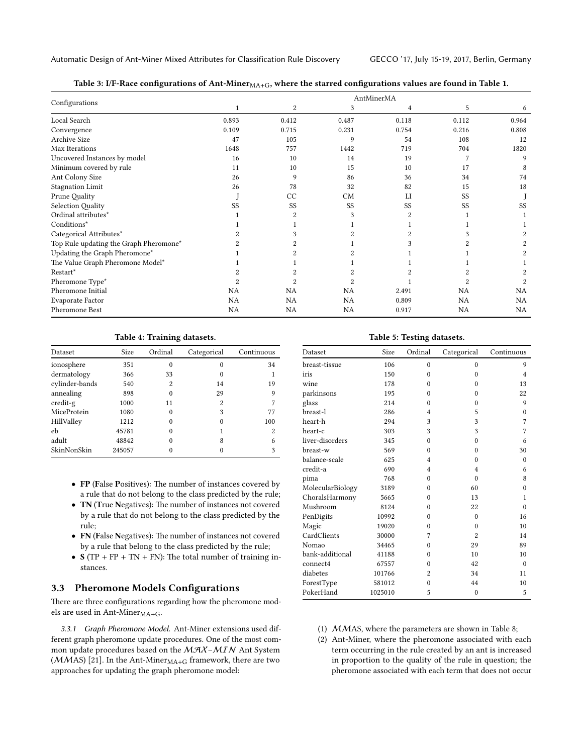<span id="page-5-2"></span>Automatic Design of Ant-Miner Mixed Attributes for Classification Rule Discovery GECCO '17, July 15-19, 2017, Berlin, Germany

Table 3: I/F-Race configurations of Ant-Miner $_{\rm MA+G}$ , where the starred configurations values are found in Table [1.](#page-2-2)

|                                        | AntMinerMA   |           |                |                |           |           |  |  |  |
|----------------------------------------|--------------|-----------|----------------|----------------|-----------|-----------|--|--|--|
| Configurations                         | $\mathbf{1}$ | 2         | 3              | 4              | 5         | 6         |  |  |  |
| Local Search                           | 0.893        | 0.412     | 0.487          | 0.118          | 0.112     | 0.964     |  |  |  |
| Convergence                            | 0.109        | 0.715     | 0.231          | 0.754          | 0.216     | 0.808     |  |  |  |
| <b>Archive Size</b>                    | 47           | 105       | 9              | 54             | 108       | 12        |  |  |  |
| Max Iterations                         | 1648         | 757       | 1442           | 719            | 704       | 1820      |  |  |  |
| Uncovered Instances by model           | 16           | 10        | 14             | 19             |           | 9         |  |  |  |
| Minimum covered by rule                | 11           | 10        | 15             | 10             | 17        | 8         |  |  |  |
| Ant Colony Size                        | 26           | 9         | 86             | 36             | 34        | 74        |  |  |  |
| Stagnation Limit                       | 26           | 78        | 32             | 82             | 15        | 18        |  |  |  |
| Prune Quality                          |              | CC        | CM             | LI             | SS        |           |  |  |  |
| Selection Quality                      | SS           | SS        | <b>SS</b>      | SS             | SS        | SS        |  |  |  |
| Ordinal attributes*                    |              | 2         | 3              | $\overline{2}$ |           |           |  |  |  |
| Conditions*                            |              |           |                |                |           |           |  |  |  |
| Categorical Attributes*                |              |           |                |                |           |           |  |  |  |
| Top Rule updating the Graph Pheromone* |              |           |                |                |           |           |  |  |  |
| Updating the Graph Pheromone*          |              |           |                |                |           |           |  |  |  |
| The Value Graph Pheromone Model*       |              |           |                |                |           |           |  |  |  |
| Restart*                               |              |           |                |                |           |           |  |  |  |
| Pheromone Type*                        |              | 2         | $\overline{2}$ |                |           |           |  |  |  |
| Pheromone Initial                      | NA           | <b>NA</b> | <b>NA</b>      | 2.491          | <b>NA</b> | NA        |  |  |  |
| Evaporate Factor                       | NA           | <b>NA</b> | NA             | 0.809          | NA        | <b>NA</b> |  |  |  |
| Pheromone Best                         | NA           | NA        | NA             | 0.917          | NA        | NA        |  |  |  |

#### Table 4: Training datasets.

| Dataset        | <b>Size</b> | Ordinal  | Categorical | Continuous |
|----------------|-------------|----------|-------------|------------|
| ionosphere     | 351         | $\theta$ | 0           | 34         |
| dermatology    | 366         | 33       | $\Omega$    |            |
| cylinder-bands | 540         | 2        | 14          | 19         |
| annealing      | 898         | $\theta$ | 29          | 9          |
| credit-g       | 1000        | 11       | 2           |            |
| MiceProtein    | 1080        | $\Omega$ | 3           | 77         |
| HillValley     | 1212        | $\Omega$ | 0           | 100        |
| eb             | 45781       | $\Omega$ |             | 2          |
| adult          | 48842       | $\Omega$ | 8           | 6          |
| SkinNonSkin    | 245057      |          |             | 3          |

- FP (False Positives): The number of instances covered by a rule that do not belong to the class predicted by the rule;
- TN (True Negatives): The number of instances not covered by a rule that do not belong to the class predicted by the rule;
- FN (False Negatives): The number of instances not covered by a rule that belong to the class predicted by the rule;
- $S(TP + FP + TN + FN)$ : The total number of training instances.

#### 3.3 Pheromone Models Configurations

<span id="page-5-1"></span>There are three configurations regarding how the pheromone models are used in Ant-Miner $_{\text{MA}+\text{G}}$ .

3.3.1 Graph Pheromone Model. Ant-Miner extensions used different graph pheromone update procedures. One of the most common update procedures based on the  $MAX-MIN$  Ant System ( $MMAS$ ) [\[21\]](#page-7-12). In the Ant-Miner $_{MA+G}$  framework, there are two approaches for updating the graph pheromone model:

#### Table 5: Testing datasets.

<span id="page-5-0"></span>

| Dataset          | Size    | Ordinal        | Categorical    | Continuous |
|------------------|---------|----------------|----------------|------------|
| breast-tissue    | 106     | $\theta$       | $\theta$       | 9          |
| iris             | 150     | $\theta$       | $\theta$       | 4          |
| wine             | 178     | $\theta$       | $\theta$       | 13         |
| parkinsons       | 195     | $\theta$       | $\theta$       | 22         |
| glass            | 214     | $\theta$       | $\theta$       | 9          |
| breast-l         | 286     | 4              | 5              | $\theta$   |
| heart-h          | 294     | 3              | 3              | 7          |
| heart-c          | 303     | 3              | 3              | 7          |
| liver-disorders  | 345     | $\theta$       | $\theta$       | 6          |
| breast-w         | 569     | $\theta$       | $\theta$       | 30         |
| balance-scale    | 625     | 4              | $\Omega$       | 0          |
| credit-a         | 690     | $\overline{4}$ | 4              | 6          |
| pima             | 768     | $\theta$       | $\theta$       | 8          |
| MolecularBiology | 3189    | $\theta$       | 60             | $\theta$   |
| ChoralsHarmony   | 5665    | $\theta$       | 13             | 1          |
| Mushroom         | 8124    | $\theta$       | 22             | $\theta$   |
| PenDigits        | 10992   | $\theta$       | $\theta$       | 16         |
| Magic            | 19020   | $\theta$       | $\Omega$       | 10         |
| CardClients      | 30000   | 7              | $\overline{2}$ | 14         |
| Nomao            | 34465   | $\theta$       | 29             | 89         |
| bank-additional  | 41188   | $\theta$       | 10             | 10         |
| connect4         | 67557   | $\theta$       | 42             | $\theta$   |
| diabetes         | 101766  | $\overline{2}$ | 34             | 11         |
| ForestType       | 581012  | $\theta$       | 44             | 10         |
| PokerHand        | 1025010 | 5              | $\mathbf{0}$   | 5          |

(1) MMAS, where the parameters are shown in Table [8;](#page-7-23)

(2) Ant-Miner, where the pheromone associated with each term occurring in the rule created by an ant is increased in proportion to the quality of the rule in question; the pheromone associated with each term that does not occur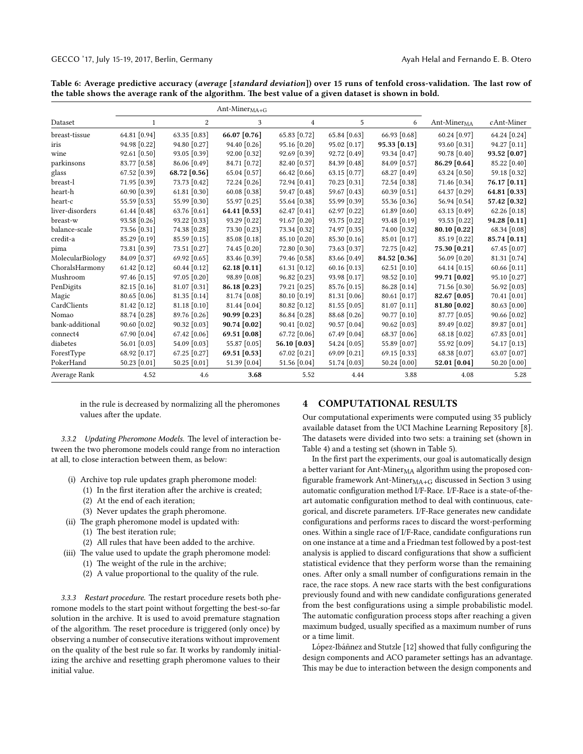|                  |                |                  | Ant-Miner $_{\rm MA+G}$ |                |                |                |                       |              |
|------------------|----------------|------------------|-------------------------|----------------|----------------|----------------|-----------------------|--------------|
| Dataset          | 1              | $\boldsymbol{2}$ | 3                       | $\overline{4}$ | 5              | 6              | Ant-Miner $_{\rm MA}$ | cAnt-Miner   |
| breast-tissue    | 64.81 [0.94]   | 63.35 [0.83]     | 66.07 [0.76]            | 65.83 [0.72]   | 65.84 [0.63]   | 66.93 [0.68]   | 60.24 [0.97]          | 64.24 [0.24] |
| iris             | 94.98 [0.22]   | 94.80 [0.27]     | 94.40 [0.26]            | 95.16 [0.20]   | 95.02 [0.17]   | 95.33 [0.13]   | 93.60 [0.31]          | 94.27 [0.11] |
| wine             | 92.61 [0.50]   | 93.05 [0.39]     | 92.00 [0.32]            | 92.69 [0.39]   | 92.72 [0.49]   | 93.34 [0.47]   | 90.78 [0.40]          | 93.52 [0.07] |
| parkinsons       | 83.77 [0.58]   | 86.06 [0.49]     | 84.71 [0.72]            | 82.40 [0.57]   | 84.39 [0.48]   | 84.09 [0.57]   | 86.29 [0.64]          | 85.22 [0.40] |
| glass            | 67.52 [0.39]   | 68.72 [0.56]     | 65.04 [0.57]            | 66.42 [0.66]   | 63.15 [0.77]   | 68.27 [0.49]   | 63.24 [0.50]          | 59.18 [0.32] |
| breast-l         | 71.95 [0.39]   | 73.73 [0.42]     | 72.24 [0.26]            | 72.94 [0.41]   | 70.23 [0.31]   | 72.54 [0.38]   | 71.46 [0.34]          | 76.17 [0.11] |
| heart-h          | 60.90 [0.39]   | 61.81 $[0.30]$   | 60.08 [0.38]            | 59.47 [0.48]   | 59.67 [0.43]   | 60.39 [0.51]   | 64.37 [0.29]          | 64.81 [0.33] |
| heart-c          | 55.59 [0.53]   | 55.99 [0.30]     | 55.97 [0.25]            | 55.64 [0.38]   | 55.99 [0.39]   | 55.36 [0.36]   | 56.94 [0.54]          | 57.42 [0.32] |
| liver-disorders  | 61.44 $[0.48]$ | 63.76 [0.61]     | 64.41 [0.53]            | 62.47 [0.41]   | 62.97 [0.22]   | 61.89 [0.60]   | 63.13 [0.49]          | 62.26 [0.18] |
| breast-w         | 93.58 [0.26]   | 93.22 [0.33]     | 93.29 [0.22]            | 91.67 [0.20]   | 93.75 [0.22]   | 93.48 [0.19]   | 93.53 [0.22]          | 94.28 [0.11] |
| balance-scale    | 73.56 [0.31]   | 74.38 [0.28]     | 73.30 [0.23]            | 73.34 [0.32]   | 74.97 [0.35]   | 74.00 [0.32]   | 80.10 [0.22]          | 68.34 [0.08] |
| credit-a         | 85.29 [0.19]   | 85.59 [0.15]     | 85.08 [0.18]            | 85.10 [0.20]   | 85.30 [0.16]   | 85.01 [0.17]   | 85.19 [0.22]          | 85.74 [0.11] |
| pima             | 73.81 [0.39]   | 73.51 [0.27]     | 74.45 [0.20]            | 72.80 [0.30]   | 73.63 [0.37]   | 72.75 [0.42]   | 75.30 [0.21]          | 67.45 [0.07] |
| MolecularBiology | 84.09 [0.37]   | 69.92 [0.65]     | 83.46 [0.39]            | 79.46 [0.58]   | 83.66 [0.49]   | 84.52 [0.36]   | 56.09 [0.20]          | 81.31 [0.74] |
| ChoralsHarmony   | 61.42 [0.12]   | 60.44 [0.12]     | 62.18 [0.11]            | $61.31$ [0.12] | 60.16 [0.13]   | 62.51 [0.10]   | 64.14 [0.15]          | 60.66 [0.11] |
| Mushroom         | 97.46 [0.15]   | 97.05 [0.20]     | 98.89 [0.08]            | 96.82 [0.23]   | 93.98 [0.17]   | 98.52 [0.10]   | 99.71 [0.02]          | 95.10 [0.27] |
| PenDigits        | 82.15 [0.16]   | 81.07 [0.31]     | 86.18 [0.23]            | 79.21 [0.25]   | 85.76 [0.15]   | 86.28 [0.14]   | 71.56 [0.30]          | 56.92 [0.03] |
| Magic            | $80.65$ [0.06] | $81.35$ [0.14]   | 81.74 [0.08]            | 80.10 [0.19]   | $81.31$ [0.06] | $80.61$ [0.17] | 82.67 [0.05]          | 70.41 [0.01] |
| CardClients      | 81.42 [0.12]   | 81.18 [0.10]     | 81.44 [0.04]            | 80.82 [0.12]   | 81.55 [0.05]   | 81.07 [0.11]   | 81.80 [0.02]          | 80.63 [0.00] |
| Nomao            | 88.74 [0.28]   | 89.76 [0.26]     | 90.99 [0.23]            | 86.84 [0.28]   | 88.68 [0.26]   | 90.77 [0.10]   | 87.77 [0.05]          | 90.66 [0.02] |
| bank-additional  | $90.60$ [0.02] | 90.32 [0.03]     | $90.74$ [0.02]          | $90.41$ [0.02] | 90.57 [0.04]   | 90.62 [0.03]   | 89.49 [0.02]          | 89.87 [0.01] |
| connect4         | 67.90 [0.04]   | 67.42 [0.06]     | 69.51 [0.08]            | 67.72 [0.06]   | 67.49 [0.04]   | 68.37 [0.06]   | 68.18 [0.02]          | 67.83 [0.01] |
| diabetes         | 56.01 $[0.03]$ | 54.09 [0.03]     | 55.87 [0.05]            | 56.10 [0.03]   | 54.24 [0.05]   | 55.89 [0.07]   | 55.92 [0.09]          | 54.17 [0.13] |
| ForestType       | 68.92 [0.17]   | 67.25 [0.27]     | 69.51 [0.53]            | 67.02 [0.21]   | 69.09 [0.21]   | 69.15 [0.33]   | 68.38 [0.07]          | 63.07 [0.07] |
| PokerHand        | $50.23$ [0.01] | 50.25 [0.01]     | 51.39 [0.04]            | 51.56 [0.04]   | 51.74 [0.03]   | 50.24 [0.00]   | 52.01 [0.04]          | 50.20 [0.00] |
| Average Rank     | 4.52           | 4.6              | 3.68                    | 5.52           | 4.44           | 3.88           | 4.08                  | 5.28         |

<span id="page-6-0"></span>Table 6: Average predictive accuracy (average [standard deviation]) over 15 runs of tenfold cross-validation. The last row of the table shows the average rank of the algorithm. The best value of a given dataset is shown in bold.

in the rule is decreased by normalizing all the pheromones values after the update.

3.3.2 Updating Pheromone Models. The level of interaction between the two pheromone models could range from no interaction at all, to close interaction between them, as below:

- (i) Archive top rule updates graph pheromone model:
	- $(1)$  In the first iteration after the archive is created;
	- (2) At the end of each iteration;
	- (3) Never updates the graph pheromone.
- (ii) The graph pheromone model is updated with:
	- $(1)$  The best iteration rule;
	- (2) All rules that have been added to the archive.
- (iii) The value used to update the graph pheromone model: (1) The weight of the rule in the archive;
	- (2) A value proportional to the quality of the rule.

3.3.3 Restart procedure. The restart procedure resets both pheromone models to the start point without forgetting the best-so-far solution in the archive. It is used to avoid premature stagnation of the algorithm. The reset procedure is triggered (only once) by observing a number of consecutive iterations without improvement on the quality of the best rule so far. It works by randomly initializing the archive and resetting graph pheromone values to their initial value.

#### 4 COMPUTATIONAL RESULTS

Our computational experiments were computed using 35 publicly available dataset from the UCI Machine Learning Repository [\[8\]](#page-7-24). The datasets were divided into two sets: a training set (shown in Table [4\)](#page-4-1) and a testing set (shown in Table [5\)](#page-4-2).

In the first part the experiments, our goal is automatically design a better variant for Ant-Miner $_{\rm MA}$  algorithm using the proposed con-figurable framework Ant-Miner<sub>MA+G</sub> discussed in Section [3](#page-1-0) using automatic configuration method I/F-Race. I/F-Race is a state-of-theart automatic configuration method to deal with continuous, categorical, and discrete parameters. I/F-Race generates new candidate configurations and performs races to discard the worst-performing ones. Within a single race of I/F-Race, candidate configurations run on one instance at a time and a Friedman test followed by a post-test analysis is applied to discard configurations that show a sufficient statistical evidence that they perform worse than the remaining ones. After only a small number of configurations remain in the race, the race stops. A new race starts with the best configurations previously found and with new candidate configurations generated from the best configurations using a simple probabilistic model. The automatic configuration process stops after reaching a given maximum budged, usually specified as a maximum number of runs or a time limit.

López-Ibáñnez and Stutzle [[12\]](#page-7-17) showed that fully configuring the design components and ACO parameter settings has an advantage. This may be due to interaction between the design components and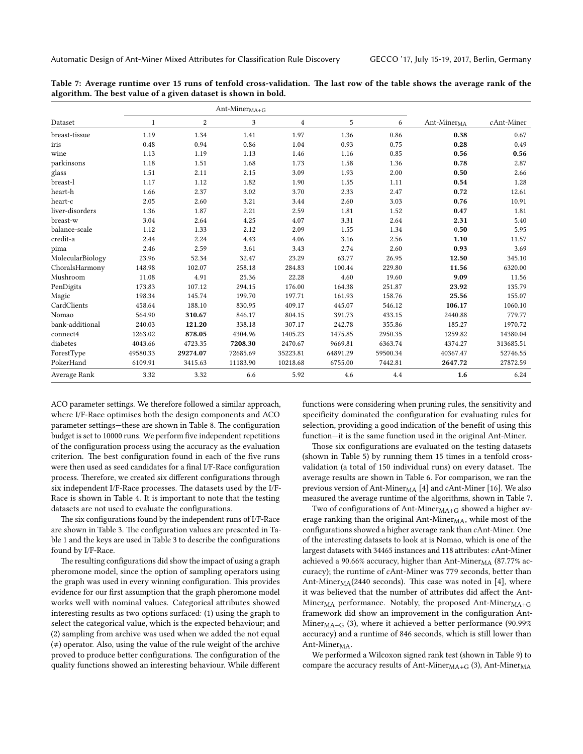<span id="page-7-25"></span><span id="page-7-18"></span><span id="page-7-1"></span>

|                  |              |          | $Ant\text{-}Miner_{MA+G}$ |          |          |          |                                                    |            |
|------------------|--------------|----------|---------------------------|----------|----------|----------|----------------------------------------------------|------------|
| Dataset          | $\mathbf{1}$ | 2        | 3                         | 4        | 5        | 6        | $\mathrm{Ant}\text{-}\mathrm{Miner}_{\mathrm{MA}}$ | cAnt-Miner |
| breast-tissue    | 1.19         | 1.34     | 1.41                      | 1.97     | 1.36     | 0.86     | 0.38                                               | 0.67       |
| iris             | 0.48         | 0.94     | 0.86                      | 1.04     | 0.93     | 0.75     | 0.28                                               | 0.49       |
| wine             | 1.13         | 1.19     | 1.13                      | 1.46     | 1.16     | 0.85     | 0.56                                               | 0.56       |
| parkinsons       | 1.18         | 1.51     | 1.68                      | 1.73     | 1.58     | 1.36     | 0.78                                               | 2.87       |
| glass            | 1.51         | 2.11     | 2.15                      | 3.09     | 1.93     | 2.00     | 0.50                                               | 2.66       |
| breast-l         | 1.17         | 1.12     | 1.82                      | 1.90     | 1.55     | 1.11     | 0.54                                               | 1.28       |
| heart-h          | 1.66         | 2.37     | 3.02                      | 3.70     | 2.33     | 2.47     | 0.72                                               | 12.61      |
| heart-c          | 2.05         | 2.60     | 3.21                      | 3.44     | 2.60     | 3.03     | 0.76                                               | 10.91      |
| liver-disorders  | 1.36         | 1.87     | 2.21                      | 2.59     | 1.81     | 1.52     | 0.47                                               | 1.81       |
| breast-w         | 3.04         | 2.64     | 4.25                      | 4.07     | 3.31     | 2.64     | 2.31                                               | 5.40       |
| balance-scale    | 1.12         | 1.33     | 2.12                      | 2.09     | 1.55     | 1.34     | 0.50                                               | 5.95       |
| credit-a         | 2.44         | 2.24     | 4.43                      | 4.06     | 3.16     | 2.56     | 1.10                                               | 11.57      |
| pima             | 2.46         | 2.59     | 3.61                      | 3.43     | 2.74     | 2.60     | 0.93                                               | 3.69       |
| MolecularBiology | 23.96        | 52.34    | 32.47                     | 23.29    | 63.77    | 26.95    | 12.50                                              | 345.10     |
| ChoralsHarmony   | 148.98       | 102.07   | 258.18                    | 284.83   | 100.44   | 229.80   | 11.56                                              | 6320.00    |
| Mushroom         | 11.08        | 4.91     | 25.36                     | 22.28    | 4.60     | 19.60    | 9.09                                               | 11.56      |
| PenDigits        | 173.83       | 107.12   | 294.15                    | 176.00   | 164.38   | 251.87   | 23.92                                              | 135.79     |
| Magic            | 198.34       | 145.74   | 199.70                    | 197.71   | 161.93   | 158.76   | 25.56                                              | 155.07     |
| CardClients      | 458.64       | 188.10   | 830.95                    | 409.17   | 445.07   | 546.12   | 106.17                                             | 1060.10    |
| Nomao            | 564.90       | 310.67   | 846.17                    | 804.15   | 391.73   | 433.15   | 2440.88                                            | 779.77     |
| bank-additional  | 240.03       | 121.20   | 338.18                    | 307.17   | 242.78   | 355.86   | 185.27                                             | 1970.72    |
| connect4         | 1263.02      | 878.05   | 4304.96                   | 1405.23  | 1475.85  | 2950.35  | 1259.82                                            | 14380.04   |
| diabetes         | 4043.66      | 4723.35  | 7208.30                   | 2470.67  | 9669.81  | 6363.74  | 4374.27                                            | 313685.51  |
| ForestType       | 49580.33     | 29274.07 | 72685.69                  | 35223.81 | 64891.29 | 59500.34 | 40367.47                                           | 52746.55   |
| PokerHand        | 6109.91      | 3415.63  | 11183.90                  | 10218.68 | 6755.00  | 7442.81  | 2647.72                                            | 27872.59   |
| Average Rank     | 3.32         | 3.32     | 6.6                       | 5.92     | 4.6      | 4.4      | 1.6                                                | 6.24       |

<span id="page-7-23"></span><span id="page-7-0"></span>Table 7: Average runtime over 15 runs of tenfold cross-validation. The last row of the table shows the average rank of the algorithm. The best value of a given dataset is shown in bold.

<span id="page-7-7"></span>ACO parameter settings. We therefore followed a similar approach, where I/F-Race optimises both the design components and ACO parameter settings—these are shown in Table [8.](#page-7-23) The configuration budget is set to 10000 runs. We perform five independent repetitions of the configuration process using the accuracy as the evaluation criterion. The best configuration found in each of the five runs were then used as seed candidates for a final I/F-Race configuration process. Therefore, we created six different configurations through six independent I/F-Race processes. The datasets used by the I/F-Race is shown in Table [4.](#page-4-1) It is important to note that the testing datasets are not used to evaluate the configurations.

The six configurations found by the independent runs of I/F-Race are shown in Table [3.](#page-4-3) The configuration values are presented in Ta-ble [1](#page-2-2) and the keys are used in Table [3](#page-4-3) to describe the configurations found by I/F-Race.

The resulting configurations did show the impact of using a graph pheromone model, since the option of sampling operators using the graph was used in every winning configuration. This provides evidence for our first assumption that the graph pheromone model works well with nominal values. Categorical attributes showed interesting results as two options surfaced: (1) using the graph to select the categorical value, which is the expected behaviour; and (2) sampling from archive was used when we added the not equal  $($   $\neq$   $)$  operator. Also, using the value of the rule weight of the archive proved to produce better configurations. The configuration of the quality functions showed an interesting behaviour. While different <span id="page-7-24"></span><span id="page-7-21"></span><span id="page-7-20"></span><span id="page-7-19"></span><span id="page-7-17"></span><span id="page-7-15"></span><span id="page-7-11"></span><span id="page-7-10"></span><span id="page-7-9"></span><span id="page-7-8"></span><span id="page-7-6"></span><span id="page-7-4"></span><span id="page-7-2"></span>functions were considering when pruning rules, the sensitivity and specificity dominated the configuration for evaluating rules for selection, providing a good indication of the benefit of using this function—it is the same function used in the original Ant-Miner.

<span id="page-7-5"></span>Those six configurations are evaluated on the testing datasets (shown in Table [5\)](#page-4-2) by running them 15 times in a tenfold crossvalidation (a total of 150 individual runs) on every dataset. The average results are shown in Table [6.](#page-5-2) For comparison, we ran the previous version of Ant-Miner $_{\rm MA}$  [\[4\]](#page-7-6) and cAnt-Miner [\[16\]](#page-7-5). We also measured the average runtime of the algorithms, shown in Table [7.](#page-6-0)

<span id="page-7-22"></span><span id="page-7-16"></span><span id="page-7-13"></span><span id="page-7-12"></span><span id="page-7-3"></span>Two of configurations of Ant-Miner $_{\text{MA}+\text{G}}$  showed a higher average ranking than the original Ant-Mine $r_{\text{MA}}$ , while most of the configurations showed a higher average rank than cAnt-Miner. One of the interesting datasets to look at is Nomao, which is one of the largest datasets with 34465 instances and 118 attributes: cAnt-Miner achieved a 90.66% accuracy, higher than Ant-Miner $_{\rm MA}$  (87.77% accuracy); the runtime of cAnt-Miner was 779 seconds, better than Ant-Miner $_{\text{MA}}$ (2440 seconds). This case was noted in [\[4\]](#page-7-6), where it was believed that the number of attributes did affect the Ant-Miner<sub>MA</sub> performance. Notably, the proposed Ant-Miner $_{\text{MA+G}}$ framework did show an improvement in the configuration Ant-Miner $_{\text{MA}+\text{G}}$  (3), where it achieved a better performance (90.99% accuracy) and a runtime of 846 seconds, which is still lower than Ant-Miner<sub>MA</sub>.

<span id="page-7-14"></span>We performed a Wilcoxon signed rank test (shown in Table [9\)](#page-7-25) to compare the accuracy results of Ant-Miner $<sub>MA+G</sub>$  (3), Ant-Miner $<sub>MA</sub>$ </sub></sub>